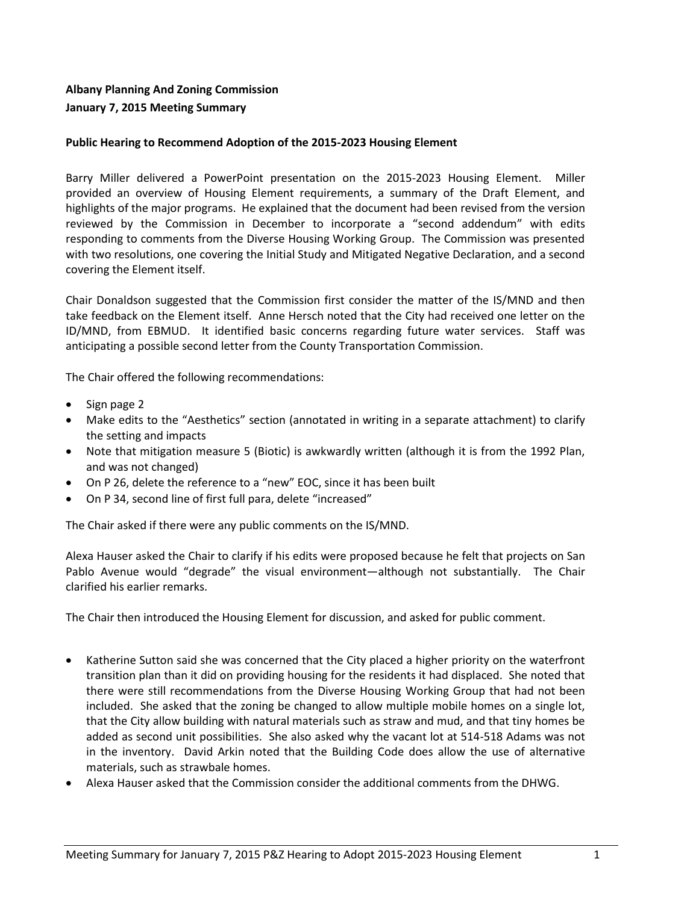## **Albany Planning And Zoning Commission January 7, 2015 Meeting Summary**

## **Public Hearing to Recommend Adoption of the 2015-2023 Housing Element**

Barry Miller delivered a PowerPoint presentation on the 2015-2023 Housing Element. Miller provided an overview of Housing Element requirements, a summary of the Draft Element, and highlights of the major programs. He explained that the document had been revised from the version reviewed by the Commission in December to incorporate a "second addendum" with edits responding to comments from the Diverse Housing Working Group. The Commission was presented with two resolutions, one covering the Initial Study and Mitigated Negative Declaration, and a second covering the Element itself.

Chair Donaldson suggested that the Commission first consider the matter of the IS/MND and then take feedback on the Element itself. Anne Hersch noted that the City had received one letter on the ID/MND, from EBMUD. It identified basic concerns regarding future water services. Staff was anticipating a possible second letter from the County Transportation Commission.

The Chair offered the following recommendations:

- $\bullet$  Sign page 2
- Make edits to the "Aesthetics" section (annotated in writing in a separate attachment) to clarify the setting and impacts
- Note that mitigation measure 5 (Biotic) is awkwardly written (although it is from the 1992 Plan, and was not changed)
- On P 26, delete the reference to a "new" EOC, since it has been built
- On P 34, second line of first full para, delete "increased"

The Chair asked if there were any public comments on the IS/MND.

Alexa Hauser asked the Chair to clarify if his edits were proposed because he felt that projects on San Pablo Avenue would "degrade" the visual environment—although not substantially. The Chair clarified his earlier remarks.

The Chair then introduced the Housing Element for discussion, and asked for public comment.

- Katherine Sutton said she was concerned that the City placed a higher priority on the waterfront transition plan than it did on providing housing for the residents it had displaced. She noted that there were still recommendations from the Diverse Housing Working Group that had not been included. She asked that the zoning be changed to allow multiple mobile homes on a single lot, that the City allow building with natural materials such as straw and mud, and that tiny homes be added as second unit possibilities. She also asked why the vacant lot at 514-518 Adams was not in the inventory. David Arkin noted that the Building Code does allow the use of alternative materials, such as strawbale homes.
- Alexa Hauser asked that the Commission consider the additional comments from the DHWG.